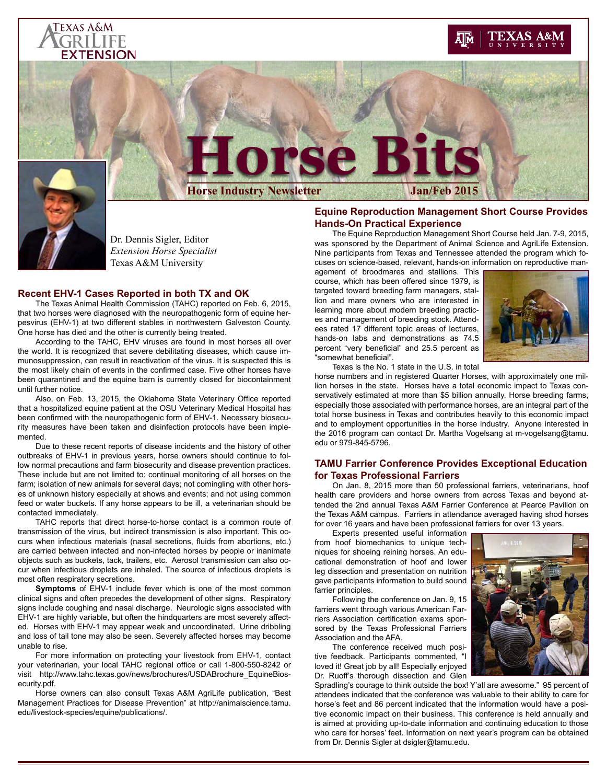### Texas A&M GRILIFE **XTENSION**

## EXAS A&M



# **Drse Bits**

**Horse Industry Newsletter** 

Dr. Dennis Sigler, Editor *Extension Horse Specialist* Texas A&M University

#### **Recent EHV-1 Cases Reported in both TX and OK**

The Texas Animal Health Commission (TAHC) reported on Feb. 6, 2015, that two horses were diagnosed with the neuropathogenic form of equine herpesvirus (EHV-1) at two different stables in northwestern Galveston County. One horse has died and the other is currently being treated.

According to the TAHC, EHV viruses are found in most horses all over the world. It is recognized that severe debilitating diseases, which cause immunosuppression, can result in reactivation of the virus. It is suspected this is the most likely chain of events in the confirmed case. Five other horses have been quarantined and the equine barn is currently closed for biocontainment until further notice.

Also, on Feb. 13, 2015, the Oklahoma State Veterinary Office reported that a hospitalized equine patient at the OSU Veterinary Medical Hospital has been confirmed with the neuropathogenic form of EHV-1. Necessary biosecurity measures have been taken and disinfection protocols have been implemented.

Due to these recent reports of disease incidents and the history of other outbreaks of EHV-1 in previous years, horse owners should continue to follow normal precautions and farm biosecurity and disease prevention practices. These include but are not limited to: continual monitoring of all horses on the farm; isolation of new animals for several days; not comingling with other horses of unknown history especially at shows and events; and not using common feed or water buckets. If any horse appears to be ill, a veterinarian should be contacted immediately.

TAHC reports that direct horse-to-horse contact is a common route of transmission of the virus, but indirect transmission is also important. This occurs when infectious materials (nasal secretions, fluids from abortions, etc.) are carried between infected and non-infected horses by people or inanimate objects such as buckets, tack, trailers, etc. Aerosol transmission can also occur when infectious droplets are inhaled. The source of infectious droplets is most often respiratory secretions.

**Symptoms** of EHV-1 include fever which is one of the most common clinical signs and often precedes the development of other signs. Respiratory signs include coughing and nasal discharge. Neurologic signs associated with EHV-1 are highly variable, but often the hindquarters are most severely affected. Horses with EHV-1 may appear weak and uncoordinated. Urine dribbling and loss of tail tone may also be seen. Severely affected horses may become unable to rise.

For more information on protecting your livestock from EHV-1, contact your veterinarian, your local TAHC regional office or call 1-800-550-8242 or visit [http://www.tahc.texas.gov/news/brochures/USDABrochure\\_EquineBios](http://www.tahc.texas.gov/news/brochures/USDABrochure_EquineBiosecurity.pdf)[ecurity.pdf](http://www.tahc.texas.gov/news/brochures/USDABrochure_EquineBiosecurity.pdf).

Horse owners can also consult Texas A&M AgriLife publication, "Best Management Practices for Disease Prevention" at [http://animalscience.tamu.](http://animalscience.tamu.edu/livestock-species/equine/publications/) [edu/livestock-species/equine/publications/.](http://animalscience.tamu.edu/livestock-species/equine/publications/)

#### **Equine Reproduction Management Short Course Provides Hands-On Practical Experience**

The Equine Reproduction Management Short Course held Jan. 7-9, 2015, was sponsored by the Department of Animal Science and AgriLife Extension. Nine participants from Texas and Tennessee attended the program which focuses on science-based, relevant, hands-on information on reproductive man-

agement of broodmares and stallions. This course, which has been offered since 1979, is targeted toward breeding farm managers, stallion and mare owners who are interested in learning more about modern breeding practices and management of breeding stock. Attendees rated 17 different topic areas of lectures, hands-on labs and demonstrations as 74.5 percent "very beneficial" and 25.5 percent as "somewhat beneficial".



Texas is the No. 1 state in the U.S. in total

horse numbers and in registered Quarter Horses, with approximately one million horses in the state. Horses have a total economic impact to Texas conservatively estimated at more than \$5 billion annually. Horse breeding farms, especially those associated with performance horses, are an integral part of the total horse business in Texas and contributes heavily to this economic impact and to employment opportunities in the horse industry. Anyone interested in the 2016 program can contact Dr. Martha Vogelsang at [m-vogelsang@tamu.](mailto:m-vogelsang%40tamu.edu?subject=) [edu](mailto:m-vogelsang%40tamu.edu?subject=) or 979-845-5796.

#### **TAMU Farrier Conference Provides Exceptional Education for Texas Professional Farriers**

On Jan. 8, 2015 more than 50 professional farriers, veterinarians, hoof health care providers and horse owners from across Texas and beyond attended the 2nd annual Texas A&M Farrier Conference at Pearce Pavilion on the Texas A&M campus. Farriers in attendance averaged having shod horses for over 16 years and have been professional farriers for over 13 years.

Experts presented useful information from hoof biomechanics to unique techniques for shoeing reining horses. An educational demonstration of hoof and lower leg dissection and presentation on nutrition gave participants information to build sound farrier principles.

Following the conference on Jan. 9, 15 farriers went through various American Farriers Association certification exams sponsored by the Texas Professional Farriers Association and the AFA.

The conference received much positive feedback. Participants commented, "I loved it! Great job by all! Especially enjoyed Dr. Ruoff's thorough dissection and Glen

Spradling's courage to think outside the box! Y'all are awesome." 95 percent of attendees indicated that the conference was valuable to their ability to care for horse's feet and 86 percent indicated that the information would have a positive economic impact on their business. This conference is held annually and is aimed at providing up-to-date information and continuing education to those who care for horses' feet. Information on next year's program can be obtained from Dr. Dennis Sigler at dsigler@tamu.edu.